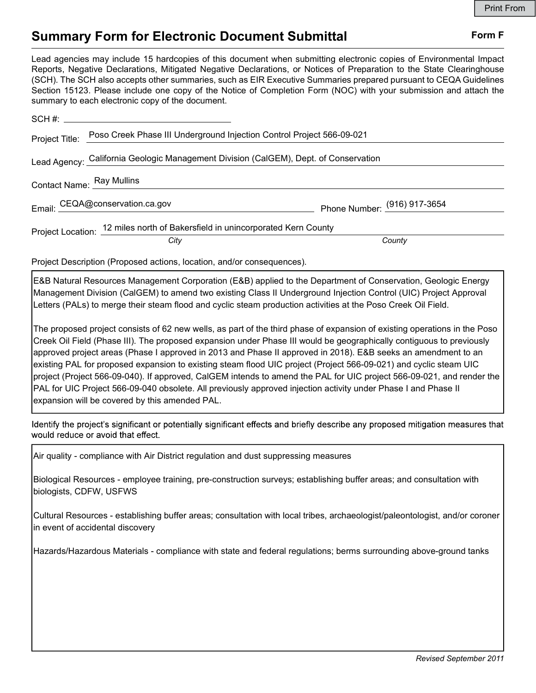## Summary Form for Electronic Document Submittal Form F

|                                                                                                                                                                                                                                                                                                                                                                                                                                                                                                                                                                                                                                                                                                                                                                                      | <b>Print From</b> |
|--------------------------------------------------------------------------------------------------------------------------------------------------------------------------------------------------------------------------------------------------------------------------------------------------------------------------------------------------------------------------------------------------------------------------------------------------------------------------------------------------------------------------------------------------------------------------------------------------------------------------------------------------------------------------------------------------------------------------------------------------------------------------------------|-------------------|
| <b>Summary Form for Electronic Document Submittal</b>                                                                                                                                                                                                                                                                                                                                                                                                                                                                                                                                                                                                                                                                                                                                | Form F            |
| Lead agencies may include 15 hardcopies of this document when submitting electronic copies of Environmental Impact<br>Reports, Negative Declarations, Mitigated Negative Declarations, or Notices of Preparation to the State Clearinghouse<br>(SCH). The SCH also accepts other summaries, such as EIR Executive Summaries prepared pursuant to CEQA Guidelines<br>Section 15123. Please include one copy of the Notice of Completion Form (NOC) with your submission and attach the<br>summary to each electronic copy of the document.                                                                                                                                                                                                                                            |                   |
|                                                                                                                                                                                                                                                                                                                                                                                                                                                                                                                                                                                                                                                                                                                                                                                      |                   |
| Poso Creek Phase III Underground Injection Control Project 566-09-021<br>Project Title:                                                                                                                                                                                                                                                                                                                                                                                                                                                                                                                                                                                                                                                                                              |                   |
| Lead Agency: California Geologic Management Division (CalGEM), Dept. of Conservation                                                                                                                                                                                                                                                                                                                                                                                                                                                                                                                                                                                                                                                                                                 |                   |
| Contact Name: Ray Mullins                                                                                                                                                                                                                                                                                                                                                                                                                                                                                                                                                                                                                                                                                                                                                            |                   |
| Email: CEQA@conservation.ca.gov enterprise Phone Number: (916) 917-3654                                                                                                                                                                                                                                                                                                                                                                                                                                                                                                                                                                                                                                                                                                              |                   |
| Project Location: 12 miles north of Bakersfield in unincorporated Kern County                                                                                                                                                                                                                                                                                                                                                                                                                                                                                                                                                                                                                                                                                                        |                   |
| City<br>County                                                                                                                                                                                                                                                                                                                                                                                                                                                                                                                                                                                                                                                                                                                                                                       |                   |
| Project Description (Proposed actions, location, and/or consequences).                                                                                                                                                                                                                                                                                                                                                                                                                                                                                                                                                                                                                                                                                                               |                   |
| E&B Natural Resources Management Corporation (E&B) applied to the Department of Conservation, Geologic Energy<br>Management Division (CalGEM) to amend two existing Class II Underground Injection Control (UIC) Project Approval<br>Letters (PALs) to merge their steam flood and cyclic steam production activities at the Poso Creek Oil Field.                                                                                                                                                                                                                                                                                                                                                                                                                                   |                   |
| The proposed project consists of 62 new wells, as part of the third phase of expansion of existing operations in the Poso<br>Creek Oil Field (Phase III). The proposed expansion under Phase III would be geographically contiguous to previously<br>approved project areas (Phase I approved in 2013 and Phase II approved in 2018). E&B seeks an amendment to an<br>existing PAL for proposed expansion to existing steam flood UIC project (Project 566-09-021) and cyclic steam UIC<br>project (Project 566-09-040). If approved, CalGEM intends to amend the PAL for UIC project 566-09-021, and render the<br>PAL for UIC Project 566-09-040 obsolete. All previously approved injection activity under Phase I and Phase II<br>expansion will be covered by this amended PAL. |                   |
| Identify the project's significant or potentially significant effects and briefly describe any proposed mitigation measures that<br>would reduce or avoid that effect.                                                                                                                                                                                                                                                                                                                                                                                                                                                                                                                                                                                                               |                   |

Contact Name: Ray Mullins<br>
Email: CEQA@conservation.ca.gov<br>
Phone Number: <sup>(916)</sup> 917-3654<br>
Project Location; 12 miles north of Bakersfield in unincorporated Kern County<br>
County<br>
Project Cescription (Proposed actions, loca Project Location: <sup>12</sup> miles norm of barkersine) in lunncoporates Aem County<br>
Project Description (Proposed actions, location, and/or consequences).<br>
E&B Natural Resources Management Corporation (E&B) applied to the Depart Project Description (Proposed actions, location, and/or consequences).<br>E&B Natural Resources Management Corporation (E&B) applied to the Department of Conservation, Geologic Energy<br>Management Division (CaldEKM) to amend tw Project Description (Fripposed actions, itocator), and/or obrise<br>queries).<br>E&B Natural Resources Management Corporation (E&B) applied to the Department of Conse<br>Management Division (CalGEM) to amend two existing Class II U Management Division (CalGEM) to amend two existing Class II Underground Injection Control (UIC) Project Approvai<br>Letters (PALs) to merge their steam flood and cyclic steam production activities at the Poso Creek Oil Field. Letters (PALs) to merge their steam flood and cyclic steam production activities at the Poso Cree<br>The proposed project consists of 62 new wells, as part of the third phase of expansion of existing<br>Creek Oil Field (Phase II The proposed project consists of 62 new wells, as part of the third phase of expansion of existing operations in the PosoCreek Oil Field (Phase III). The proposed expansion of existing correlations in the Posocropical regu